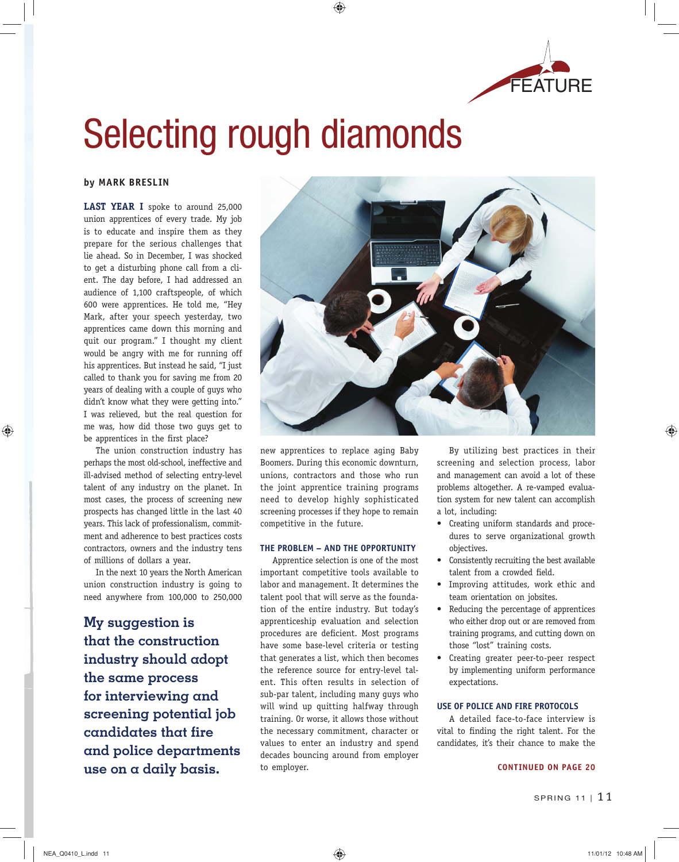

# Selecting rough diamonds

♠

## **by MARK BRESLIN**

**LAST YEAR I** spoke to around 25,000 union apprentices of every trade. My job is to educate and inspire them as they prepare for the serious challenges that lie ahead. So in December, I was shocked to get a disturbing phone call from a client. The day before, I had addressed an audience of 1,100 craftspeople, of which 600 were apprentices. He told me, "Hey Mark, after your speech yesterday, two apprentices came down this morning and quit our program." I thought my client would be angry with me for running off his apprentices. But instead he said, "I just called to thank you for saving me from 20 years of dealing with a couple of guys who didn't know what they were getting into." I was relieved, but the real question for me was, how did those two guys get to be apprentices in the first place?

The union construction industry has perhaps the most old-school, ineffective and ill-advised method of selecting entry-level talent of any industry on the planet. In most cases, the process of screening new prospects has changed little in the last 40 years. This lack of professionalism, commitment and adherence to best practices costs contractors, owners and the industry tens of millions of dollars a year.

In the next 10 years the North American union construction industry is going to need anywhere from 100,000 to 250,000

 **My suggestion is that the construction industry should adopt the same process for interviewing and screening potential job candidates that fire and police departments use on α daily basis. CONTINUED ON PAGE 20** 



new apprentices to replace aging Baby Boomers. During this economic downturn, unions, contractors and those who run the joint apprentice training programs need to develop highly sophisticated screening processes if they hope to remain competitive in the future.

### **THE PROBLEM – AND THE OPPORTUNITY**

Apprentice selection is one of the most important competitive tools available to labor and management. It determines the talent pool that will serve as the foundation of the entire industry. But today's apprenticeship evaluation and selection procedures are deficient. Most programs have some base-level criteria or testing that generates a list, which then becomes the reference source for entry-level talent. This often results in selection of sub-par talent, including many guys who will wind up quitting halfway through training. Or worse, it allows those without the necessary commitment, character or values to enter an industry and spend decades bouncing around from employer to employer.

By utilizing best practices in their screening and selection process, labor and management can avoid a lot of these problems altogether. A re-vamped evaluation system for new talent can accomplish a lot, including:

- Creating uniform standards and procedures to serve organizational growth objectives.
- Consistently recruiting the best available talent from a crowded field.
- Improving attitudes, work ethic and team orientation on jobsites.
- Reducing the percentage of apprentices who either drop out or are removed from training programs, and cutting down on those "lost" training costs.
- Creating greater peer-to-peer respect by implementing uniform performance expectations.

## **USE OF POLICE AND FIRE PROTOCOLS**

A detailed face-to-face interview is vital to finding the right talent. For the candidates, it's their chance to make the

 $\textcolor{red}{\textcircled{\footnotesize{1}}}$ 

♠